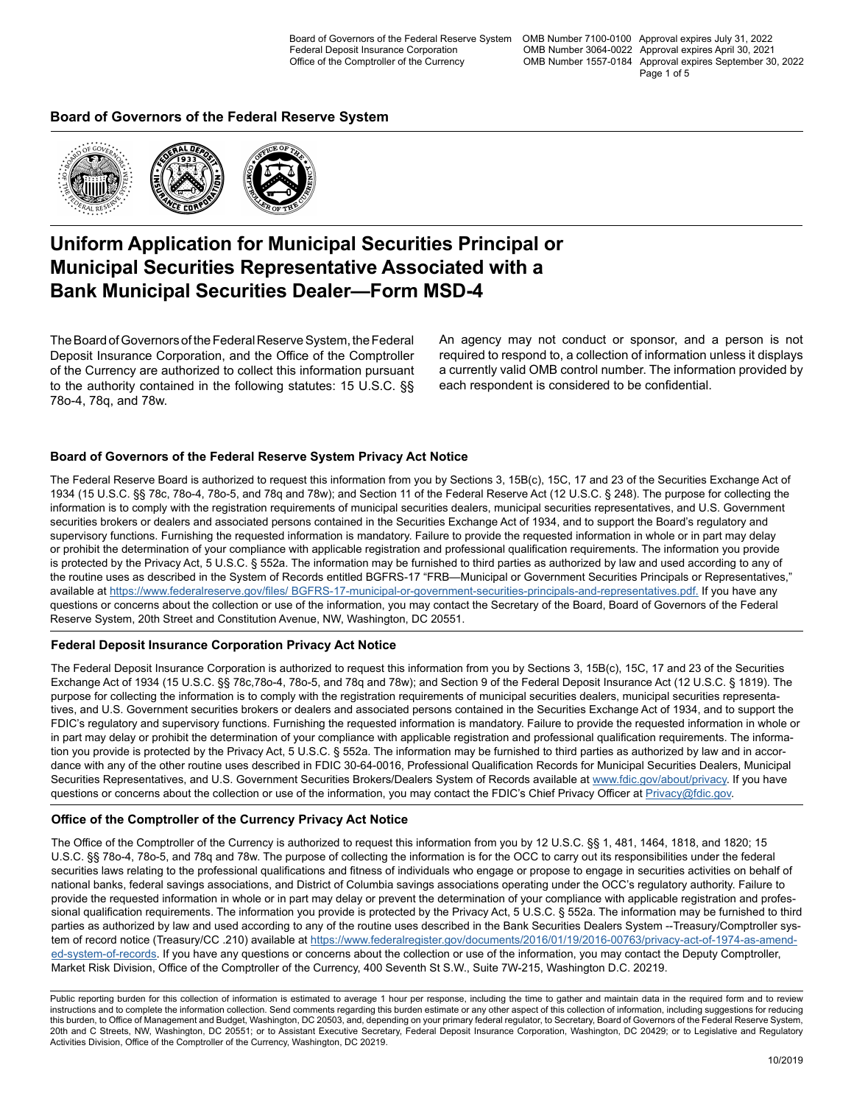Board of Governors of the Federal Reserve System OMB Number 7100-0100 Approval expires July 31, 2022 OMB Number 3064-0022 Approval expires April 30, 2021 OMB Number 1557-0184 Approval expires September 30, 2022 Page 1 of 5

### **Board of Governors of the Federal Reserve System**



### **Uniform Application for Municipal Securities Principal or Municipal Securities Representative Associated with a Bank Municipal Securities Dealer—Form MSD-4**

The Board of Governors of the Federal Reserve System, the Federal Deposit Insurance Corporation, and the Office of the Comptroller of the Currency are authorized to collect this information pursuant to the authority contained in the following statutes: 15 U.S.C. §§ 78o-4, 78q, and 78w.

An agency may not conduct or sponsor, and a person is not required to respond to, a collection of information unless it displays a currently valid OMB control number. The information provided by each respondent is considered to be confidential.

### **Board of Governors of the Federal Reserve System Privacy Act Notice**

The Federal Reserve Board is authorized to request this information from you by Sections 3, 15B(c), 15C, 17 and 23 of the Securities Exchange Act of 1934 (15 U.S.C. §§ 78c, 78o-4, 78o-5, and 78q and 78w); and Section 11 of the Federal Reserve Act (12 U.S.C. § 248). The purpose for collecting the information is to comply with the registration requirements of municipal securities dealers, municipal securities representatives, and U.S. Government securities brokers or dealers and associated persons contained in the Securities Exchange Act of 1934, and to support the Board's regulatory and supervisory functions. Furnishing the requested information is mandatory. Failure to provide the requested information in whole or in part may delay or prohibit the determination of your compliance with applicable registration and professional qualification requirements. The information you provide is protected by the Privacy Act, 5 U.S.C. § 552a. The information may be furnished to third parties as authorized by law and used according to any of the routine uses as described in the System of Records entitled BGFRS-17 "FRB—Municipal or Government Securities Principals or Representatives," available at [https://www.federalreserve.gov/files/ BGFRS-17-municipal-or-government-securities-principals-and-representatives.pdf.](https://www.federalreserve.gov/files/BGFRS-17-municipal-or-government-securities-principals-and-representatives.pdf) If you have any questions or concerns about the collection or use of the information, you may contact the Secretary of the Board, Board of Governors of the Federal Reserve System, 20th Street and Constitution Avenue, NW, Washington, DC 20551.

### **Federal Deposit Insurance Corporation Privacy Act Notice**

The Federal Deposit Insurance Corporation is authorized to request this information from you by Sections 3, 15B(c), 15C, 17 and 23 of the Securities Exchange Act of 1934 (15 U.S.C. §§ 78c,78o-4, 78o-5, and 78q and 78w); and Section 9 of the Federal Deposit Insurance Act (12 U.S.C. § 1819). The purpose for collecting the information is to comply with the registration requirements of municipal securities dealers, municipal securities representatives, and U.S. Government securities brokers or dealers and associated persons contained in the Securities Exchange Act of 1934, and to support the FDIC's regulatory and supervisory functions. Furnishing the requested information is mandatory. Failure to provide the requested information in whole or in part may delay or prohibit the determination of your compliance with applicable registration and professional qualification requirements. The information you provide is protected by the Privacy Act, 5 U.S.C. § 552a. The information may be furnished to third parties as authorized by law and in accordance with any of the other routine uses described in FDIC 30-64-0016, Professional Qualification Records for Municipal Securities Dealers, Municipal Securities Representatives, and U.S. Government Securities Brokers/Dealers System of Records available at [www.fdic.gov/about/privacy](https://www.fdic.gov/about/privacy). If you have questions or concerns about the collection or use of the information, you may contact the FDIC's Chief Privacy Officer at [Privacy@fdic.gov](mailto:Privacy%40fdic.gov?subject=Form%20MSD-4%20Information%20Collection).

### **Office of the Comptroller of the Currency Privacy Act Notice**

The Office of the Comptroller of the Currency is authorized to request this information from you by 12 U.S.C. §§ 1, 481, 1464, 1818, and 1820; 15 U.S.C. §§ 78o-4, 78o-5, and 78q and 78w. The purpose of collecting the information is for the OCC to carry out its responsibilities under the federal securities laws relating to the professional qualifications and fitness of individuals who engage or propose to engage in securities activities on behalf of national banks, federal savings associations, and District of Columbia savings associations operating under the OCC's regulatory authority. Failure to provide the requested information in whole or in part may delay or prevent the determination of your compliance with applicable registration and professional qualification requirements. The information you provide is protected by the Privacy Act, 5 U.S.C. § 552a. The information may be furnished to third parties as authorized by law and used according to any of the routine uses described in the Bank Securities Dealers System --Treasury/Comptroller system of record notice (Treasury/CC .210) available at [https://www.federalregister.gov/documents/2016/01/19/2016-00763/privacy-act-of-1974-as-amend](https://www.federalregister.gov/documents/2016/01/19/2016-00763/privacy-act-of-1974-as-amended-system-of-records)[ed-system-of-records](https://www.federalregister.gov/documents/2016/01/19/2016-00763/privacy-act-of-1974-as-amended-system-of-records). If you have any questions or concerns about the collection or use of the information, you may contact the Deputy Comptroller, Market Risk Division, Office of the Comptroller of the Currency, 400 Seventh St S.W., Suite 7W-215, Washington D.C. 20219.

Public reporting burden for this collection of information is estimated to average 1 hour per response, including the time to gather and maintain data in the required form and to review instructions and to complete the information collection. Send comments regarding this burden estimate or any other aspect of this collection of information, including suggestions for reducing this burden, to Office of Management and Budget, Washington, DC 20503, and, depending on your primary federal regulator, to Secretary, Board of Governors of the Federal Reserve System, 20th and C Streets, NW, Washington, DC 20551; or to Assistant Executive Secretary, Federal Deposit Insurance Corporation, Washington, DC 20429; or to Legislative and Regulatory Activities Division, Office of the Comptroller of the Currency, Washington, DC 20219.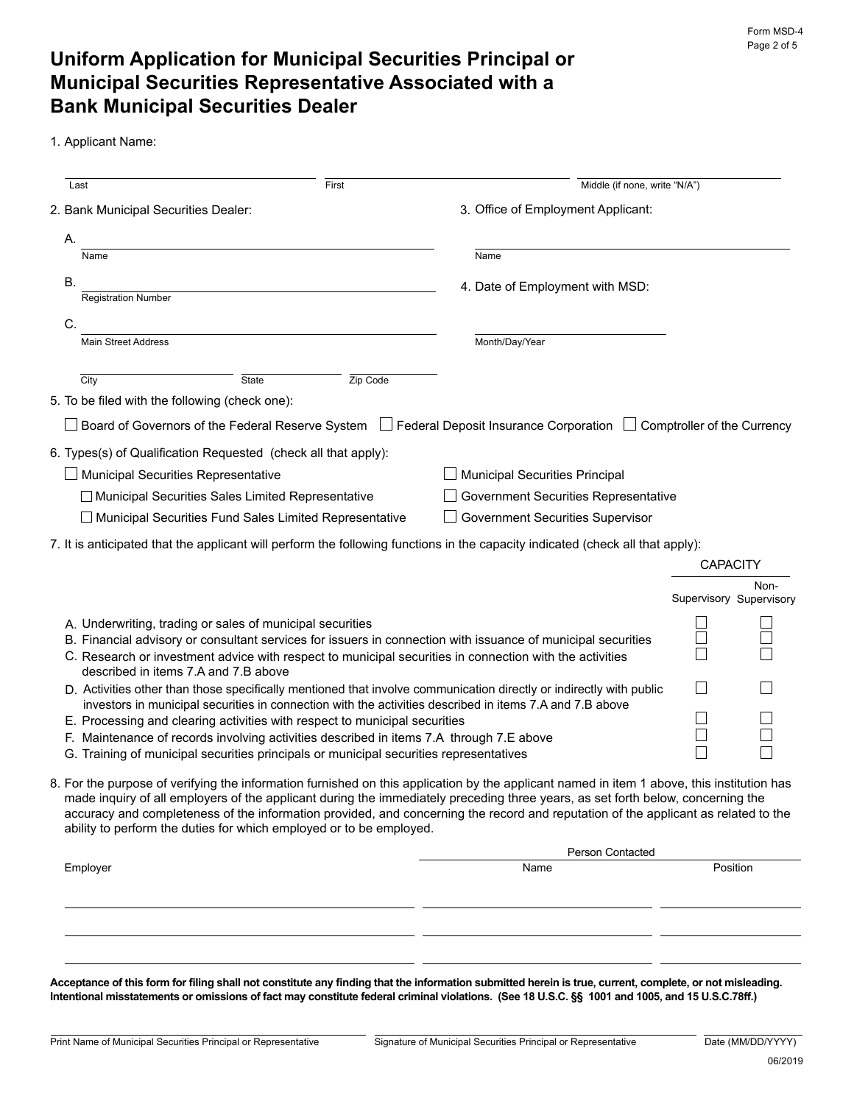## **Uniform Application for Municipal Securities Principal or Municipal Securities Representative Associated with a Bank Municipal Securities Dealer**

1. Applicant Name:

| Last                                           |                                                                                                                                                                                   | First    | Middle (if none, write "N/A")                                                                                                                                                                                                                                         |  |                         |
|------------------------------------------------|-----------------------------------------------------------------------------------------------------------------------------------------------------------------------------------|----------|-----------------------------------------------------------------------------------------------------------------------------------------------------------------------------------------------------------------------------------------------------------------------|--|-------------------------|
| 2. Bank Municipal Securities Dealer:           |                                                                                                                                                                                   |          | 3. Office of Employment Applicant:                                                                                                                                                                                                                                    |  |                         |
| А.                                             |                                                                                                                                                                                   |          |                                                                                                                                                                                                                                                                       |  |                         |
| Name                                           |                                                                                                                                                                                   |          | Name                                                                                                                                                                                                                                                                  |  |                         |
| В.                                             |                                                                                                                                                                                   |          | 4. Date of Employment with MSD:                                                                                                                                                                                                                                       |  |                         |
| <b>Registration Number</b>                     |                                                                                                                                                                                   |          |                                                                                                                                                                                                                                                                       |  |                         |
| C.                                             |                                                                                                                                                                                   |          |                                                                                                                                                                                                                                                                       |  |                         |
| <b>Main Street Address</b>                     |                                                                                                                                                                                   |          | Month/Day/Year                                                                                                                                                                                                                                                        |  |                         |
| City                                           | State                                                                                                                                                                             | Zip Code |                                                                                                                                                                                                                                                                       |  |                         |
| 5. To be filed with the following (check one): |                                                                                                                                                                                   |          |                                                                                                                                                                                                                                                                       |  |                         |
|                                                | Board of Governors of the Federal Reserve System                                                                                                                                  |          | Federal Deposit Insurance Corporation □ Comptroller of the Currency                                                                                                                                                                                                   |  |                         |
|                                                | 6. Types(s) of Qualification Requested (check all that apply):                                                                                                                    |          |                                                                                                                                                                                                                                                                       |  |                         |
|                                                | <b>Municipal Securities Representative</b>                                                                                                                                        |          | <b>Municipal Securities Principal</b>                                                                                                                                                                                                                                 |  |                         |
|                                                | □ Municipal Securities Sales Limited Representative                                                                                                                               |          | <b>Government Securities Representative</b>                                                                                                                                                                                                                           |  |                         |
|                                                | □ Municipal Securities Fund Sales Limited Representative                                                                                                                          |          | <b>Government Securities Supervisor</b>                                                                                                                                                                                                                               |  |                         |
|                                                |                                                                                                                                                                                   |          |                                                                                                                                                                                                                                                                       |  |                         |
|                                                |                                                                                                                                                                                   |          | 7. It is anticipated that the applicant will perform the following functions in the capacity indicated (check all that apply):                                                                                                                                        |  | <b>CAPACITY</b>         |
|                                                |                                                                                                                                                                                   |          |                                                                                                                                                                                                                                                                       |  | Non-                    |
|                                                |                                                                                                                                                                                   |          |                                                                                                                                                                                                                                                                       |  | Supervisory Supervisory |
|                                                | A. Underwriting, trading or sales of municipal securities                                                                                                                         |          |                                                                                                                                                                                                                                                                       |  |                         |
|                                                |                                                                                                                                                                                   |          | B. Financial advisory or consultant services for issuers in connection with issuance of municipal securities                                                                                                                                                          |  |                         |
|                                                | described in items 7.A and 7.B above                                                                                                                                              |          | C. Research or investment advice with respect to municipal securities in connection with the activities                                                                                                                                                               |  |                         |
|                                                |                                                                                                                                                                                   |          | D. Activities other than those specifically mentioned that involve communication directly or indirectly with public                                                                                                                                                   |  |                         |
|                                                | investors in municipal securities in connection with the activities described in items 7.A and 7.B above                                                                          |          |                                                                                                                                                                                                                                                                       |  |                         |
|                                                | E. Processing and clearing activities with respect to municipal securities                                                                                                        |          |                                                                                                                                                                                                                                                                       |  |                         |
|                                                | F. Maintenance of records involving activities described in items 7.A through 7.E above<br>G. Training of municipal securities principals or municipal securities representatives |          |                                                                                                                                                                                                                                                                       |  |                         |
|                                                |                                                                                                                                                                                   |          |                                                                                                                                                                                                                                                                       |  |                         |
|                                                |                                                                                                                                                                                   |          | 8. For the purpose of verifying the information furnished on this application by the applicant named in item 1 above, this institution has                                                                                                                            |  |                         |
|                                                |                                                                                                                                                                                   |          | made inquiry of all employers of the applicant during the immediately preceding three years, as set forth below, concerning the<br>accuracy and completeness of the information provided, and concerning the record and reputation of the applicant as related to the |  |                         |
|                                                | ability to perform the duties for which employed or to be employed.                                                                                                               |          |                                                                                                                                                                                                                                                                       |  |                         |
|                                                | Person Contacted                                                                                                                                                                  |          |                                                                                                                                                                                                                                                                       |  |                         |
| Employer                                       |                                                                                                                                                                                   |          | Name                                                                                                                                                                                                                                                                  |  | Position                |
|                                                |                                                                                                                                                                                   |          |                                                                                                                                                                                                                                                                       |  |                         |
|                                                |                                                                                                                                                                                   |          |                                                                                                                                                                                                                                                                       |  |                         |
|                                                |                                                                                                                                                                                   |          |                                                                                                                                                                                                                                                                       |  |                         |

**Acceptance of this form for filing shall not constitute any finding that the information submitted herein is true, current, complete, or not misleading. Intentional misstatements or omissions of fact may constitute federal criminal violations. (See 18 U.S.C. §§ 1001 and 1005, and 15 U.S.C.78ff.)**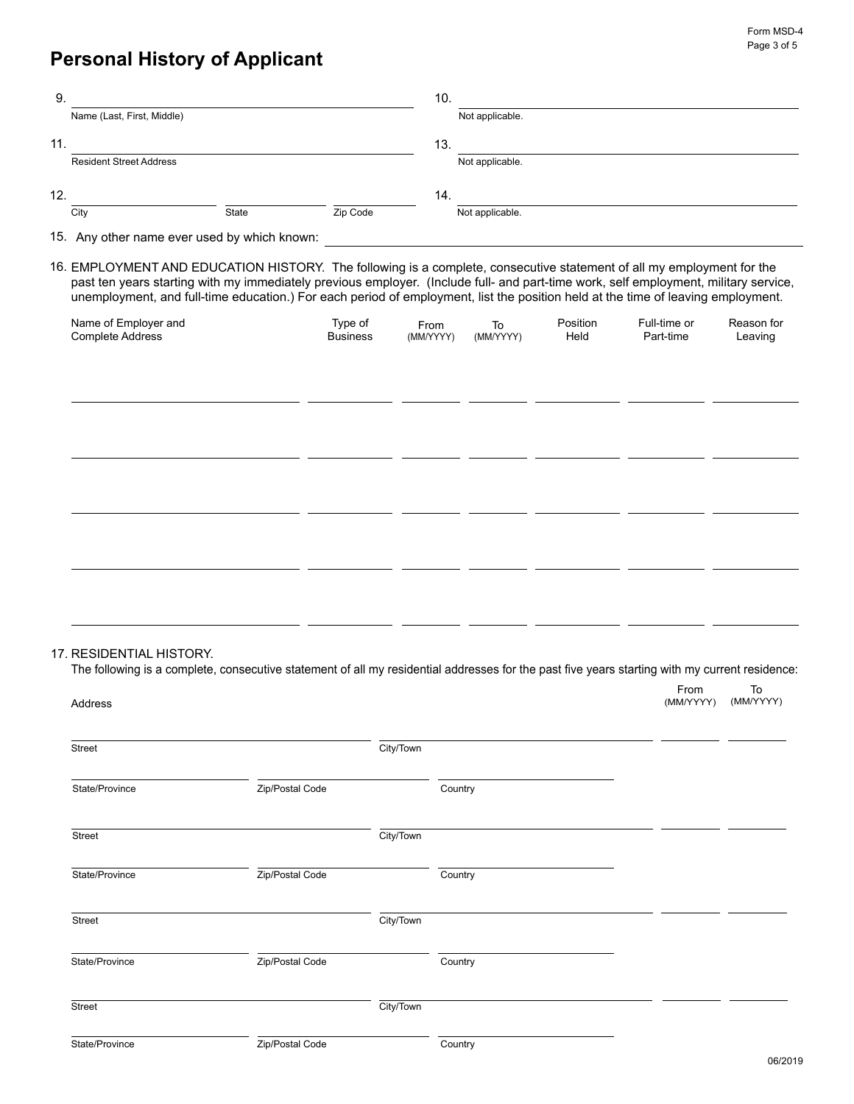## **Personal History of Applicant**

17.

| 9.  |                                              |       |          | 10. |                 |
|-----|----------------------------------------------|-------|----------|-----|-----------------|
|     | Name (Last, First, Middle)                   |       |          |     | Not applicable. |
| 11. |                                              |       |          | 13. |                 |
|     | <b>Resident Street Address</b>               |       |          |     | Not applicable. |
| 12. |                                              |       |          | 14. |                 |
|     | City                                         | State | Zip Code |     | Not applicable. |
|     | 15. Any other name ever used by which known: |       |          |     |                 |

16. EMPLOYMENT AND EDUCATION HISTORY. The following is a complete, consecutive statement of all my employment for the past ten years starting with my immediately previous employer. (Include full- and part-time work, self employment, military service, unemployment, and full-time education.) For each period of employment, list the position held at the time of leaving employment.

| Name of Employer and<br>Complete Address                                                                                                                  | Type of<br><b>Business</b> | From<br>(MM/YYYY) | To<br>(MM/YYYY) | Position<br>Held | Full-time or<br>Part-time | Reason for<br>Leaving |
|-----------------------------------------------------------------------------------------------------------------------------------------------------------|----------------------------|-------------------|-----------------|------------------|---------------------------|-----------------------|
|                                                                                                                                                           |                            |                   |                 |                  |                           |                       |
|                                                                                                                                                           |                            |                   |                 |                  |                           |                       |
|                                                                                                                                                           |                            |                   |                 |                  |                           |                       |
|                                                                                                                                                           |                            |                   |                 |                  |                           |                       |
|                                                                                                                                                           |                            |                   |                 |                  |                           |                       |
|                                                                                                                                                           |                            |                   |                 |                  |                           |                       |
| 7. RESIDENTIAL HISTORY.                                                                                                                                   |                            |                   |                 |                  |                           |                       |
| The following is a complete, consecutive statement of all my residential addresses for the past five years starting with my current residence:<br>Address |                            |                   |                 |                  | From<br>(MM/YYYY)         | To<br>(MM/YYYY)       |

| Street         |                 | City/Town |         |  |       |
|----------------|-----------------|-----------|---------|--|-------|
| State/Province | Zip/Postal Code |           | Country |  |       |
| Street         |                 | City/Town |         |  |       |
| State/Province | Zip/Postal Code |           | Country |  |       |
| Street         |                 | City/Town |         |  |       |
| State/Province | Zip/Postal Code |           | Country |  |       |
| Street         |                 | City/Town |         |  |       |
| State/Province | Zip/Postal Code |           | Country |  | 0.212 |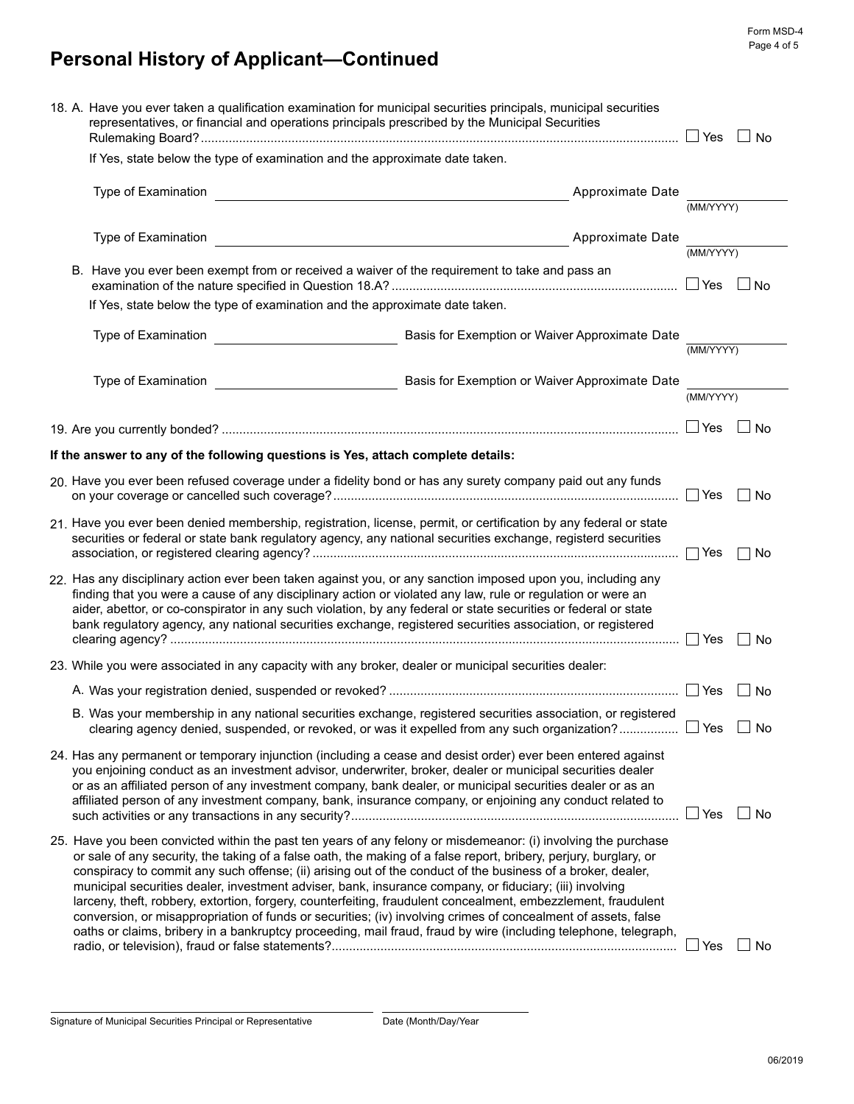# **Personal History of Applicant—Continued**

| 18. A. Have you ever taken a qualification examination for municipal securities principals, municipal securities<br>representatives, or financial and operations principals prescribed by the Municipal Securities |                                                                                                                                                                                                                                                                                                                                                                                                                                                       |                                                                                                                                                                                                                                                                                                                                                                                                                                                                                                                                                                                                                                                                                                                                                                                                                    |                                                |            | No        |  |
|--------------------------------------------------------------------------------------------------------------------------------------------------------------------------------------------------------------------|-------------------------------------------------------------------------------------------------------------------------------------------------------------------------------------------------------------------------------------------------------------------------------------------------------------------------------------------------------------------------------------------------------------------------------------------------------|--------------------------------------------------------------------------------------------------------------------------------------------------------------------------------------------------------------------------------------------------------------------------------------------------------------------------------------------------------------------------------------------------------------------------------------------------------------------------------------------------------------------------------------------------------------------------------------------------------------------------------------------------------------------------------------------------------------------------------------------------------------------------------------------------------------------|------------------------------------------------|------------|-----------|--|
|                                                                                                                                                                                                                    | If Yes, state below the type of examination and the approximate date taken.                                                                                                                                                                                                                                                                                                                                                                           |                                                                                                                                                                                                                                                                                                                                                                                                                                                                                                                                                                                                                                                                                                                                                                                                                    |                                                |            |           |  |
|                                                                                                                                                                                                                    | Type of Examination<br>Approximate Date<br><u> 1989 - John Stein, Amerikaansk politiker (</u>                                                                                                                                                                                                                                                                                                                                                         |                                                                                                                                                                                                                                                                                                                                                                                                                                                                                                                                                                                                                                                                                                                                                                                                                    |                                                |            | (MM/YYYY) |  |
|                                                                                                                                                                                                                    | Type of Examination<br>Approximate Date                                                                                                                                                                                                                                                                                                                                                                                                               |                                                                                                                                                                                                                                                                                                                                                                                                                                                                                                                                                                                                                                                                                                                                                                                                                    |                                                |            | (MM/YYYY) |  |
|                                                                                                                                                                                                                    | B. Have you ever been exempt from or received a waiver of the requirement to take and pass an                                                                                                                                                                                                                                                                                                                                                         |                                                                                                                                                                                                                                                                                                                                                                                                                                                                                                                                                                                                                                                                                                                                                                                                                    |                                                |            | ⊿ No      |  |
|                                                                                                                                                                                                                    |                                                                                                                                                                                                                                                                                                                                                                                                                                                       | If Yes, state below the type of examination and the approximate date taken.                                                                                                                                                                                                                                                                                                                                                                                                                                                                                                                                                                                                                                                                                                                                        |                                                |            |           |  |
|                                                                                                                                                                                                                    |                                                                                                                                                                                                                                                                                                                                                                                                                                                       | Type of Examination                                                                                                                                                                                                                                                                                                                                                                                                                                                                                                                                                                                                                                                                                                                                                                                                | Basis for Exemption or Waiver Approximate Date | (MM/YYYY)  |           |  |
|                                                                                                                                                                                                                    | Basis for Exemption or Waiver Approximate Date<br>Type of Examination                                                                                                                                                                                                                                                                                                                                                                                 |                                                                                                                                                                                                                                                                                                                                                                                                                                                                                                                                                                                                                                                                                                                                                                                                                    |                                                |            | (MM/YYYY) |  |
|                                                                                                                                                                                                                    |                                                                                                                                                                                                                                                                                                                                                                                                                                                       |                                                                                                                                                                                                                                                                                                                                                                                                                                                                                                                                                                                                                                                                                                                                                                                                                    |                                                | $\Box$ Yes | No        |  |
|                                                                                                                                                                                                                    |                                                                                                                                                                                                                                                                                                                                                                                                                                                       | If the answer to any of the following questions is Yes, attach complete details:                                                                                                                                                                                                                                                                                                                                                                                                                                                                                                                                                                                                                                                                                                                                   |                                                |            |           |  |
|                                                                                                                                                                                                                    |                                                                                                                                                                                                                                                                                                                                                                                                                                                       | 20. Have you ever been refused coverage under a fidelity bond or has any surety company paid out any funds                                                                                                                                                                                                                                                                                                                                                                                                                                                                                                                                                                                                                                                                                                         |                                                |            | No        |  |
|                                                                                                                                                                                                                    |                                                                                                                                                                                                                                                                                                                                                                                                                                                       | 21. Have you ever been denied membership, registration, license, permit, or certification by any federal or state<br>securities or federal or state bank regulatory agency, any national securities exchange, registerd securities                                                                                                                                                                                                                                                                                                                                                                                                                                                                                                                                                                                 |                                                | $\Box$ Yes | No.       |  |
|                                                                                                                                                                                                                    |                                                                                                                                                                                                                                                                                                                                                                                                                                                       | 22. Has any disciplinary action ever been taken against you, or any sanction imposed upon you, including any<br>finding that you were a cause of any disciplinary action or violated any law, rule or regulation or were an<br>aider, abettor, or co-conspirator in any such violation, by any federal or state securities or federal or state<br>bank regulatory agency, any national securities exchange, registered securities association, or registered                                                                                                                                                                                                                                                                                                                                                       |                                                |            | No        |  |
|                                                                                                                                                                                                                    | 23. While you were associated in any capacity with any broker, dealer or municipal securities dealer:                                                                                                                                                                                                                                                                                                                                                 |                                                                                                                                                                                                                                                                                                                                                                                                                                                                                                                                                                                                                                                                                                                                                                                                                    |                                                |            |           |  |
|                                                                                                                                                                                                                    |                                                                                                                                                                                                                                                                                                                                                                                                                                                       |                                                                                                                                                                                                                                                                                                                                                                                                                                                                                                                                                                                                                                                                                                                                                                                                                    |                                                |            | No        |  |
|                                                                                                                                                                                                                    |                                                                                                                                                                                                                                                                                                                                                                                                                                                       | B. Was your membership in any national securities exchange, registered securities association, or registered<br>clearing agency denied, suspended, or revoked, or was it expelled from any such organization? $\Box$ Yes                                                                                                                                                                                                                                                                                                                                                                                                                                                                                                                                                                                           |                                                |            | No        |  |
|                                                                                                                                                                                                                    | 24. Has any permanent or temporary injunction (including a cease and desist order) ever been entered against<br>you enjoining conduct as an investment advisor, underwriter, broker, dealer or municipal securities dealer<br>or as an affiliated person of any investment company, bank dealer, or municipal securities dealer or as an<br>affiliated person of any investment company, bank, insurance company, or enjoining any conduct related to |                                                                                                                                                                                                                                                                                                                                                                                                                                                                                                                                                                                                                                                                                                                                                                                                                    |                                                |            | ⊥ No      |  |
|                                                                                                                                                                                                                    |                                                                                                                                                                                                                                                                                                                                                                                                                                                       | 25. Have you been convicted within the past ten years of any felony or misdemeanor: (i) involving the purchase<br>or sale of any security, the taking of a false oath, the making of a false report, bribery, perjury, burglary, or<br>conspiracy to commit any such offense; (ii) arising out of the conduct of the business of a broker, dealer,<br>municipal securities dealer, investment adviser, bank, insurance company, or fiduciary; (iii) involving<br>larceny, theft, robbery, extortion, forgery, counterfeiting, fraudulent concealment, embezzlement, fraudulent<br>conversion, or misappropriation of funds or securities; (iv) involving crimes of concealment of assets, false<br>oaths or claims, bribery in a bankruptcy proceeding, mail fraud, fraud by wire (including telephone, telegraph, |                                                | $\Box$ Yes | No        |  |